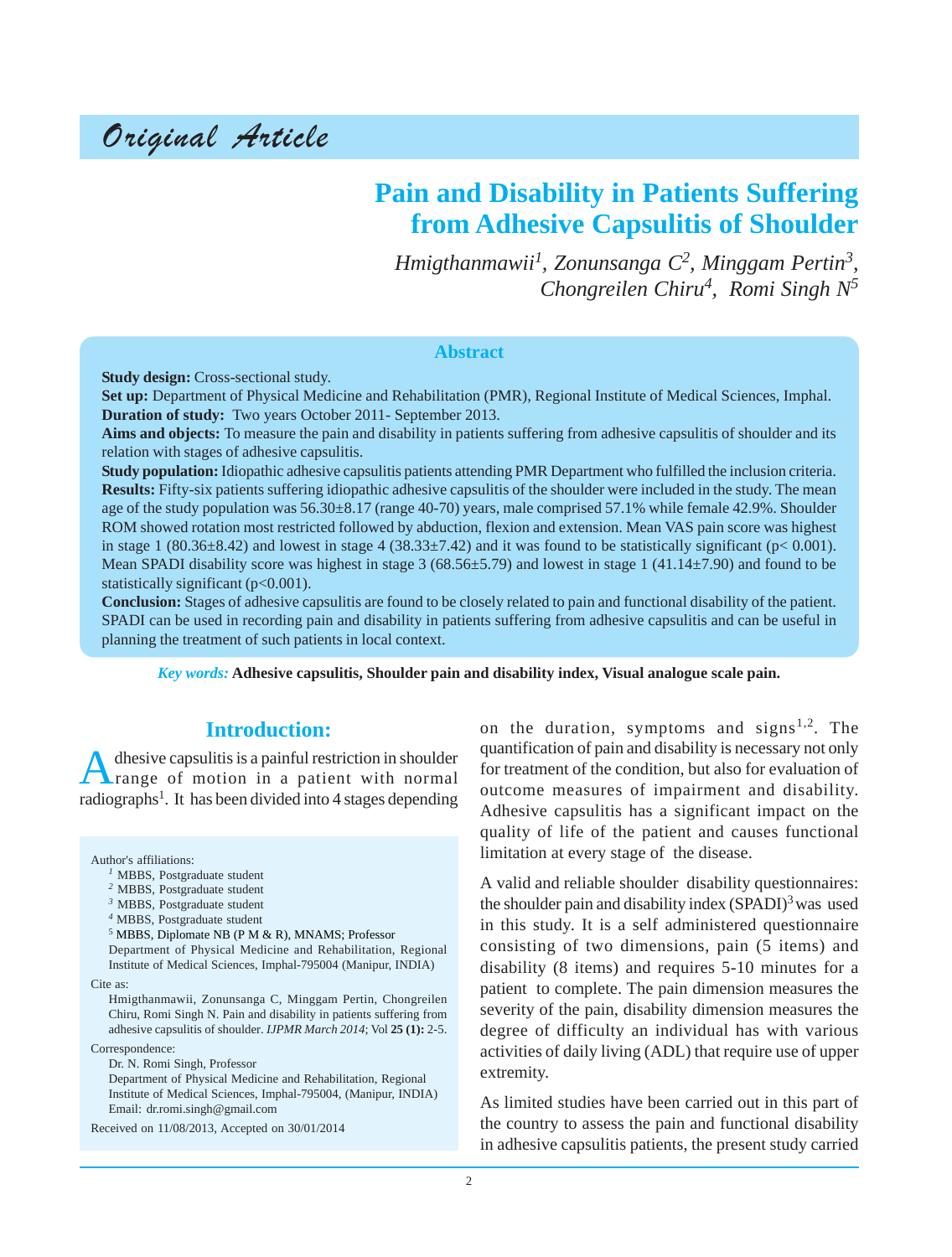# Original Article

# **Pain and Disability in Patients Suffering from Adhesive Capsulitis of Shoulder**

*Hmigthanmawii1 , Zonunsanga C2 , Minggam Pertin3, Chongreilen Chiru4 , Romi Singh N5*

#### **Abstract**

**Study design:** Cross-sectional study.

**Set up:** Department of Physical Medicine and Rehabilitation (PMR), Regional Institute of Medical Sciences, Imphal. **Duration of study:** Two years October 2011- September 2013.

**Aims and objects:** To measure the pain and disability in patients suffering from adhesive capsulitis of shoulder and its relation with stages of adhesive capsulitis.

**Study population:** Idiopathic adhesive capsulitis patients attending PMR Department who fulfilled the inclusion criteria. **Results:** Fifty-six patients suffering idiopathic adhesive capsulitis of the shoulder were included in the study. The mean age of the study population was 56.30±8.17 (range 40-70) years, male comprised 57.1% while female 42.9%. Shoulder ROM showed rotation most restricted followed by abduction, flexion and extension. Mean VAS pain score was highest in stage 1 (80.36 $\pm$ 8.42) and lowest in stage 4 (38.33 $\pm$ 7.42) and it was found to be statistically significant (p< 0.001). Mean SPADI disability score was highest in stage  $3(68.56\pm 5.79)$  and lowest in stage 1 (41.14 $\pm$ 7.90) and found to be statistically significant ( $p<0.001$ ).

**Conclusion:** Stages of adhesive capsulitis are found to be closely related to pain and functional disability of the patient. SPADI can be used in recording pain and disability in patients suffering from adhesive capsulitis and can be useful in planning the treatment of such patients in local context.

*Key words:* **Adhesive capsulitis, Shoulder pain and disability index, Visual analogue scale pain.**

# **Introduction:**

A dhesive capsulitis is a painful restriction in shoulder<br>
range of motion in a patient with normal radiographs<sup>1</sup>. It has been divided into 4 stages depending

Author's affiliations:

- *<sup>3</sup>* MBBS, Postgraduate student
- *<sup>4</sup>* MBBS, Postgraduate student

<sup>5</sup> MBBS, Diplomate NB (P M & R), MNAMS; Professor Department of Physical Medicine and Rehabilitation, Regional Institute of Medical Sciences, Imphal-795004 (Manipur, INDIA)

Cite as:

Hmigthanmawii, Zonunsanga C, Minggam Pertin, Chongreilen Chiru, Romi Singh N. Pain and disability in patients suffering from adhesive capsulitis of shoulder. *IJPMR March 2014*; Vol **25 (1):** 2-5.

Correspondence:

Dr. N. Romi Singh, Professor

Department of Physical Medicine and Rehabilitation, Regional Institute of Medical Sciences, Imphal-795004, (Manipur, INDIA) Email: dr.romi.singh@gmail.com

Received on 11/08/2013, Accepted on 30/01/2014

on the duration, symptoms and signs<sup>1,2</sup>. The quantification of pain and disability is necessary not only for treatment of the condition, but also for evaluation of outcome measures of impairment and disability. Adhesive capsulitis has a significant impact on the quality of life of the patient and causes functional limitation at every stage of the disease.

A valid and reliable shoulder disability questionnaires: the shoulder pain and disability index  $(SPADI)^3$  was used in this study. It is a self administered questionnaire consisting of two dimensions, pain (5 items) and disability (8 items) and requires 5-10 minutes for a patient to complete. The pain dimension measures the severity of the pain, disability dimension measures the degree of difficulty an individual has with various activities of daily living (ADL) that require use of upper extremity.

As limited studies have been carried out in this part of the country to assess the pain and functional disability in adhesive capsulitis patients, the present study carried

*<sup>1</sup>* MBBS, Postgraduate student

*<sup>2</sup>* MBBS, Postgraduate student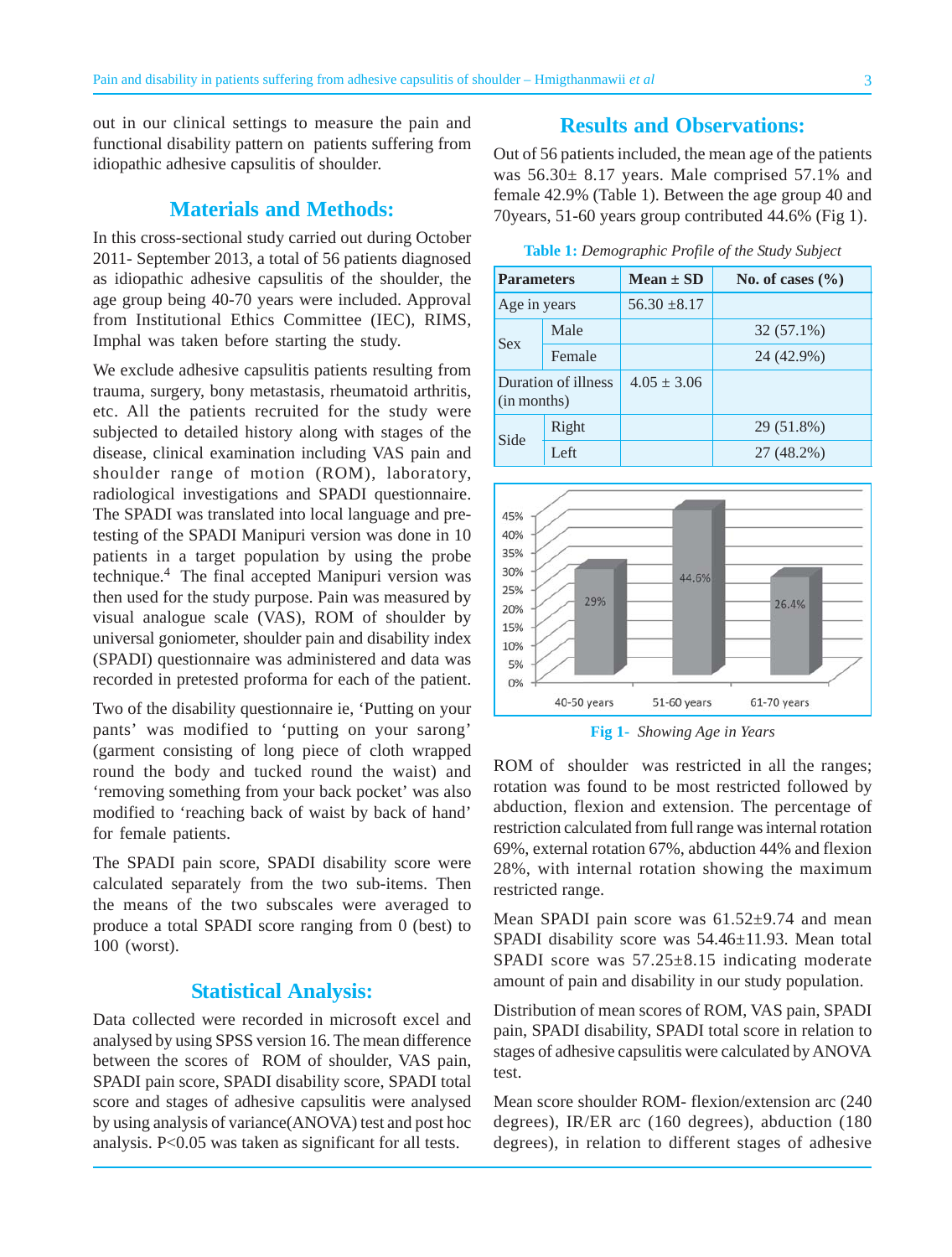out in our clinical settings to measure the pain and functional disability pattern on patients suffering from idiopathic adhesive capsulitis of shoulder.

# **Materials and Methods:**

In this cross-sectional study carried out during October 2011- September 2013, a total of 56 patients diagnosed as idiopathic adhesive capsulitis of the shoulder, the age group being 40-70 years were included. Approval from Institutional Ethics Committee (IEC), RIMS, Imphal was taken before starting the study.

We exclude adhesive capsulitis patients resulting from trauma, surgery, bony metastasis, rheumatoid arthritis, etc. All the patients recruited for the study were subjected to detailed history along with stages of the disease, clinical examination including VAS pain and shoulder range of motion (ROM), laboratory, radiological investigations and SPADI questionnaire. The SPADI was translated into local language and pretesting of the SPADI Manipuri version was done in 10 patients in a target population by using the probe technique.4 The final accepted Manipuri version was then used for the study purpose. Pain was measured by visual analogue scale (VAS), ROM of shoulder by universal goniometer, shoulder pain and disability index (SPADI) questionnaire was administered and data was recorded in pretested proforma for each of the patient.

Two of the disability questionnaire ie, 'Putting on your pants' was modified to 'putting on your sarong' (garment consisting of long piece of cloth wrapped round the body and tucked round the waist) and 'removing something from your back pocket' was also modified to 'reaching back of waist by back of hand' for female patients.

The SPADI pain score, SPADI disability score were calculated separately from the two sub-items. Then the means of the two subscales were averaged to produce a total SPADI score ranging from 0 (best) to 100 (worst).

#### **Statistical Analysis:**

Data collected were recorded in microsoft excel and analysed by using SPSS version 16. The mean difference between the scores of ROM of shoulder, VAS pain, SPADI pain score, SPADI disability score, SPADI total score and stages of adhesive capsulitis were analysed by using analysis of variance(ANOVA) test and post hoc analysis. P<0.05 was taken as significant for all tests.

# **Results and Observations:**

Out of 56 patients included, the mean age of the patients was 56.30± 8.17 years. Male comprised 57.1% and female 42.9% (Table 1). Between the age group 40 and 70years, 51-60 years group contributed 44.6% (Fig 1).

**Table 1:** *Demographic Profile of the Study Subject*

| <b>Parameters</b>                  |        | $Mean \pm SD$    | No. of cases $(\% )$ |
|------------------------------------|--------|------------------|----------------------|
| Age in years                       |        | $56.30 \pm 8.17$ |                      |
| <b>Sex</b>                         | Male   |                  | 32 (57.1%)           |
|                                    | Female |                  | 24 (42.9%)           |
| Duration of illness<br>(in months) |        | $4.05 \pm 3.06$  |                      |
| Side                               | Right  |                  | 29 (51.8%)           |
|                                    | Left   |                  | 27 (48.2%)           |



**Fig 1-** *Showing Age in Years*

ROM of shoulder was restricted in all the ranges; rotation was found to be most restricted followed by abduction, flexion and extension. The percentage of restriction calculated from full range was internal rotation 69%, external rotation 67%, abduction 44% and flexion 28%, with internal rotation showing the maximum restricted range.

Mean SPADI pain score was  $61.52\pm9.74$  and mean SPADI disability score was 54.46±11.93. Mean total SPADI score was 57.25±8.15 indicating moderate amount of pain and disability in our study population.

Distribution of mean scores of ROM, VAS pain, SPADI pain, SPADI disability, SPADI total score in relation to stages of adhesive capsulitis were calculated by ANOVA test.

Mean score shoulder ROM- flexion/extension arc (240 degrees), IR/ER arc (160 degrees), abduction (180 degrees), in relation to different stages of adhesive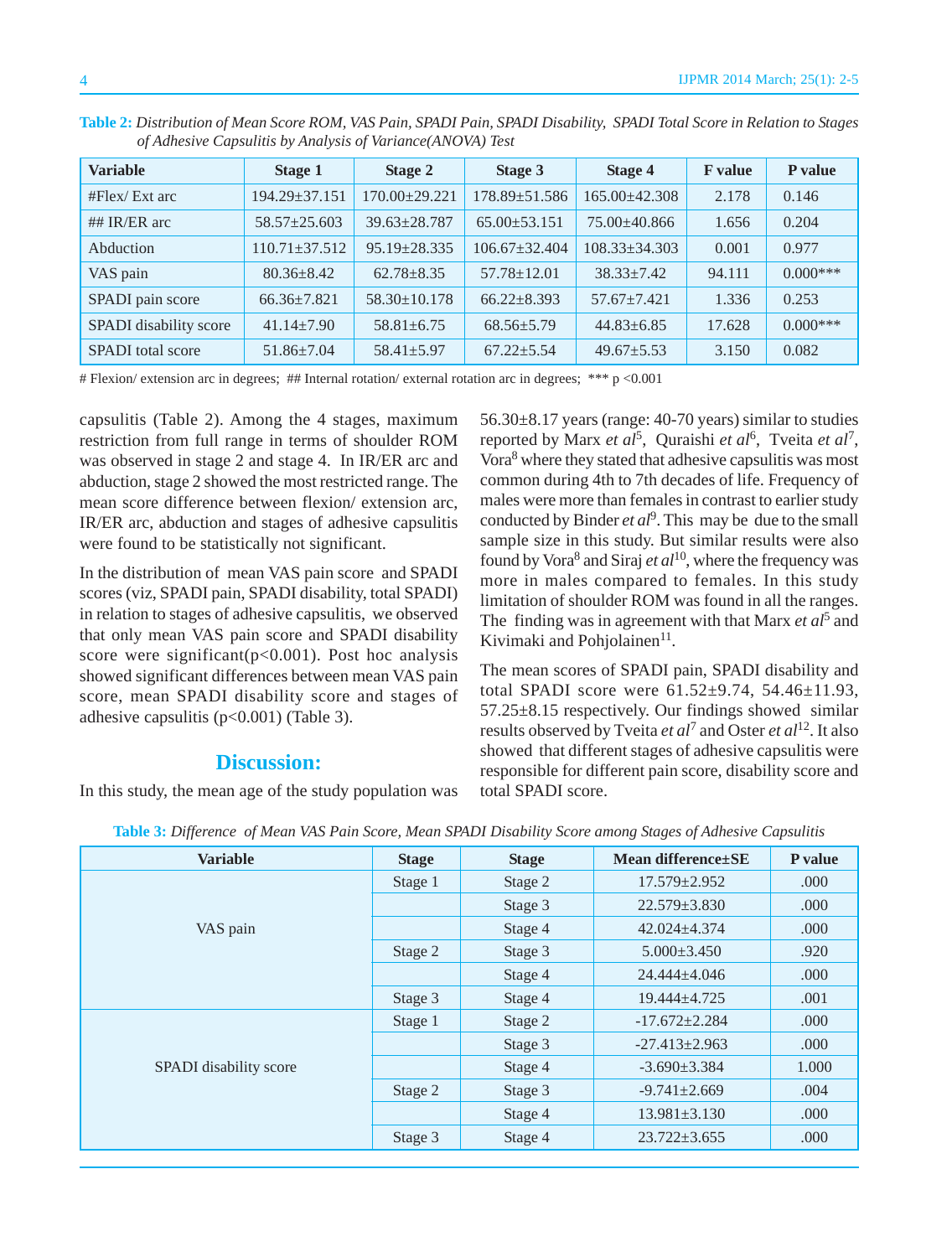**Table 2:** *Distribution of Mean Score ROM, VAS Pain, SPADI Pain, SPADI Disability, SPADI Total Score in Relation to Stages of Adhesive Capsulitis by Analysis of Variance(ANOVA) Test*

| <b>Variable</b>          | Stage 1             | Stage 2            | Stage 3             | <b>Stage 4</b>      | <b>F</b> value | P value     |
|--------------------------|---------------------|--------------------|---------------------|---------------------|----------------|-------------|
| #Flex/Ext arc            | $194.29 \pm 37.151$ | $170.00+29.221$    | 178.89±51.586       | $165.00\pm42.308$   | 2.178          | 0.146       |
| ## $IR/ER$ arc           | $58.57 \pm 25.603$  | $39.63 + 28.787$   | $65.00 + 53.151$    | $75.00 + 40.866$    | 1.656          | 0.204       |
| Abduction                | $110.71 \pm 37.512$ | $95.19 + 28.335$   | $106.67 \pm 32.404$ | $108.33 \pm 34.303$ | 0.001          | 0.977       |
| VAS pain                 | $80.36 + 8.42$      | $62.78 + 8.35$     | $57.78 \pm 12.01$   | $38.33 \pm 7.42$    | 94.111         | $0.000$ *** |
| SPADI pain score         | $66.36 \pm 7.821$   | $58.30 \pm 10.178$ | $66.22 + 8.393$     | $57.67 + 7.421$     | 1.336          | 0.253       |
| SPADI disability score   | $41.14 \pm 7.90$    | $58.81 + 6.75$     | $68.56 \pm 5.79$    | $44.83 \pm 6.85$    | 17.628         | $0.000***$  |
| <b>SPADI</b> total score | $51.86 \pm 7.04$    | $58.41 \pm 5.97$   | $67.22 + 5.54$      | $49.67 + 5.53$      | 3.150          | 0.082       |

# Flexion/ extension arc in degrees; ## Internal rotation/ external rotation arc in degrees; \*\*\* p <0.001

capsulitis (Table 2). Among the 4 stages, maximum restriction from full range in terms of shoulder ROM was observed in stage 2 and stage 4. In IR/ER arc and abduction, stage 2 showed the most restricted range. The mean score difference between flexion/ extension arc, IR/ER arc, abduction and stages of adhesive capsulitis were found to be statistically not significant.

In the distribution of mean VAS pain score and SPADI scores (viz, SPADI pain, SPADI disability, total SPADI) in relation to stages of adhesive capsulitis, we observed that only mean VAS pain score and SPADI disability score were significant( $p<0.001$ ). Post hoc analysis showed significant differences between mean VAS pain score, mean SPADI disability score and stages of adhesive capsulitis (p<0.001) (Table 3).

#### **Discussion:**

In this study, the mean age of the study population was

 $56.30\pm8.17$  years (range: 40-70 years) similar to studies reported by Marx *et al*<sup>5</sup>, Quraishi *et al*<sup>6</sup>, Tveita *et al*<sup>7</sup>, Vora8 where they stated that adhesive capsulitis was most common during 4th to 7th decades of life. Frequency of males were more than females in contrast to earlier study conducted by Binder *et al*<sup>9</sup>. This may be due to the small sample size in this study. But similar results were also found by Vora<sup>8</sup> and Siraj *et al*<sup>10</sup>, where the frequency was more in males compared to females. In this study limitation of shoulder ROM was found in all the ranges. The finding was in agreement with that Marx *et al*<sup>5</sup> and Kivimaki and Pohjolainen<sup>11</sup>.

The mean scores of SPADI pain, SPADI disability and total SPADI score were 61.52±9.74, 54.46±11.93, 57.25±8.15 respectively. Our findings showed similar results observed by Tveita *et al*<sup>7</sup> and Oster *et al*<sup>12</sup>. It also showed that different stages of adhesive capsulitis were responsible for different pain score, disability score and total SPADI score.

| <b>Variable</b>        | <b>Stage</b> | <b>Stage</b> | Mean difference SE  | P value |
|------------------------|--------------|--------------|---------------------|---------|
|                        | Stage 1      | Stage 2      | $17.579 \pm 2.952$  | .000    |
|                        |              | Stage 3      | $22.579 \pm 3.830$  | .000    |
| VAS pain               |              | Stage 4      | $42.024 \pm 4.374$  | .000    |
|                        | Stage 2      | Stage 3      | $5.000 \pm 3.450$   | .920    |
|                        |              | Stage 4      | $24.444 \pm 4.046$  | .000    |
|                        | Stage 3      | Stage 4      | $19.444 \pm 4.725$  | .001    |
|                        | Stage 1      | Stage 2      | $-17.672 \pm 2.284$ | .000    |
|                        |              | Stage 3      | $-27.413 \pm 2.963$ | .000    |
| SPADI disability score |              | Stage 4      | $-3.690 \pm 3.384$  | 1.000   |
|                        | Stage 2      | Stage 3      | $-9.741 \pm 2.669$  | .004    |
|                        |              | Stage 4      | $13.981 \pm 3.130$  | .000    |
|                        | Stage 3      | Stage 4      | $23.722 \pm 3.655$  | .000    |

**Table 3:** *Difference of Mean VAS Pain Score, Mean SPADI Disability Score among Stages of Adhesive Capsulitis*